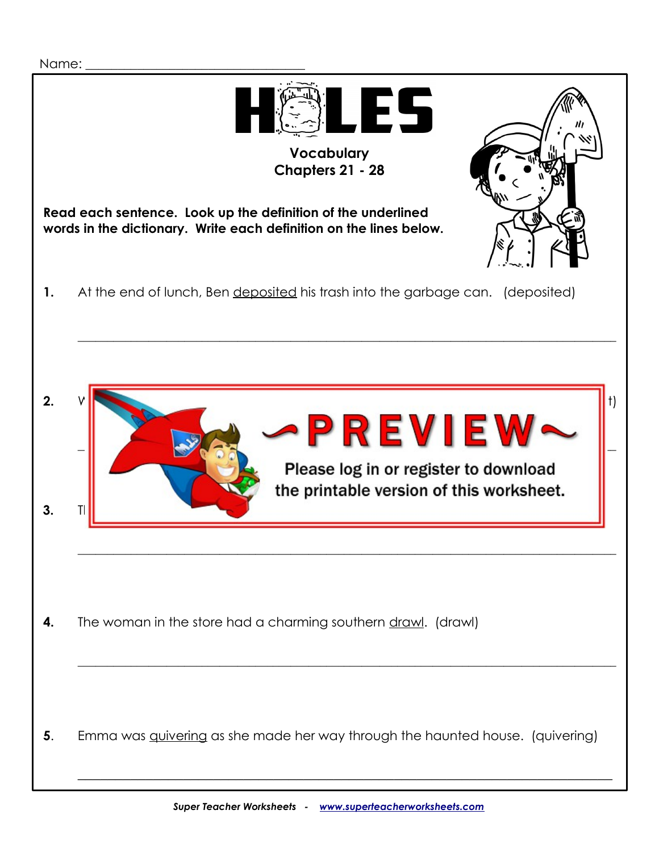